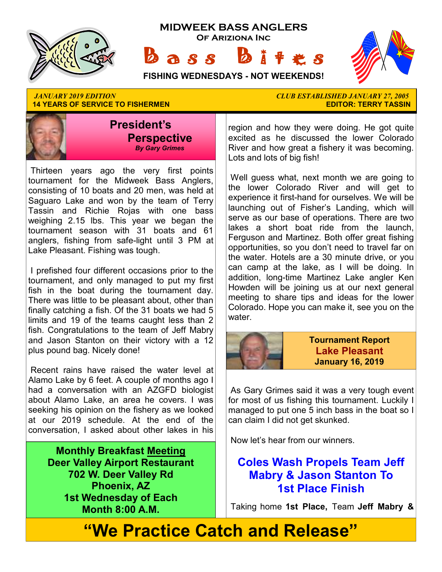

**14 YEARS OF SERVICE TO FISHERMEN** 



 Thirteen years ago the very first points tournament for the Midweek Bass Anglers, consisting of 10 boats and 20 men, was held at Saguaro Lake and won by the team of Terry Tassin and Richie Rojas with one bass weighing 2.15 lbs. This year we began the tournament season with 31 boats and 61 anglers, fishing from safe-light until 3 PM at Lake Pleasant. Fishing was tough.

 I prefished four different occasions prior to the tournament, and only managed to put my first fish in the boat during the tournament day. There was little to be pleasant about, other than finally catching a fish. Of the 31 boats we had 5 limits and 19 of the teams caught less than 2 fish. Congratulations to the team of Jeff Mabry and Jason Stanton on their victory with a 12 plus pound bag. Nicely done!

 Recent rains have raised the water level at Alamo Lake by 6 feet. A couple of months ago I had a conversation with an AZGFD biologist about Alamo Lake, an area he covers. I was seeking his opinion on the fishery as we looked at our 2019 schedule. At the end of the conversation, I asked about other lakes in his

**Monthly Breakfast Meeting Deer Valley Airport Restaurant 702 W. Deer Valley Rd Phoenix, AZ 1st Wednesday of Each Month 8:00 A.M.** 

*JANUARY 2019 EDITION CLUB ESTABLISHED JANUARY 27, 2005* 

region and how they were doing. He got quite excited as he discussed the lower Colorado River and how great a fishery it was becoming. Lots and lots of big fish!

 Well guess what, next month we are going to the lower Colorado River and will get to experience it first-hand for ourselves. We will be launching out of Fisher's Landing, which will serve as our base of operations. There are two lakes a short boat ride from the launch, Ferguson and Martinez. Both offer great fishing opportunities, so you don't need to travel far on the water. Hotels are a 30 minute drive, or you can camp at the lake, as I will be doing. In addition, long-time Martinez Lake angler Ken Howden will be joining us at our next general meeting to share tips and ideas for the lower Colorado. Hope you can make it, see you on the water.



**Tournament Report Lake Pleasant January 16, 2019**

 As Gary Grimes said it was a very tough event for most of us fishing this tournament. Luckily I managed to put one 5 inch bass in the boat so I can claim I did not get skunked.

Now let's hear from our winners.

# **Coles Wash Propels Team Jeff Mabry & Jason Stanton To 1st Place Finish**

Taking home **1st Place,** Team **Jeff Mabry &** 

# **"We Practice Catch and Release"**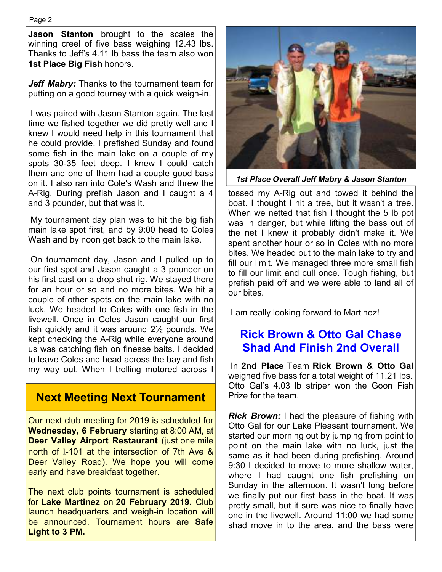Page 2

**Jason Stanton** brought to the scales the winning creel of five bass weighing 12.43 lbs. Thanks to Jeff's 4.11 lb bass the team also won **1st Place Big Fish** honors.

*Jeff Mabry:* Thanks to the tournament team for putting on a good tourney with a quick weigh-in.

 I was paired with Jason Stanton again. The last time we fished together we did pretty well and I knew I would need help in this tournament that he could provide. I prefished Sunday and found some fish in the main lake on a couple of my spots 30-35 feet deep. I knew I could catch them and one of them had a couple good bass on it. I also ran into Cole's Wash and threw the A-Rig. During prefish Jason and I caught a 4 and 3 pounder, but that was it.

 My tournament day plan was to hit the big fish main lake spot first, and by 9:00 head to Coles Wash and by noon get back to the main lake.

 On tournament day, Jason and I pulled up to our first spot and Jason caught a 3 pounder on his first cast on a drop shot rig. We stayed there for an hour or so and no more bites. We hit a couple of other spots on the main lake with no luck. We headed to Coles with one fish in the livewell. Once in Coles Jason caught our first fish quickly and it was around 2½ pounds. We kept checking the A-Rig while everyone around us was catching fish on finesse baits. I decided to leave Coles and head across the bay and fish my way out. When I trolling motored across I

## **Next Meeting Next Tournament**

Our next club meeting for 2019 is scheduled for **Wednesday, 6 February** starting at 8:00 AM, at **Deer Valley Airport Restaurant** (just one mile north of I-101 at the intersection of 7th Ave & Deer Valley Road). We hope you will come early and have breakfast together.

The next club points tournament is scheduled for **Lake Martinez** on **20 February 2019.** Club launch headquarters and weigh-in location will be announced. Tournament hours are **Safe Light to 3 PM.** 



*1st Place Overall Jeff Mabry & Jason Stanton* 

tossed my A-Rig out and towed it behind the boat. I thought I hit a tree, but it wasn't a tree. When we netted that fish I thought the 5 lb pot was in danger, but while lifting the bass out of the net I knew it probably didn't make it. We spent another hour or so in Coles with no more bites. We headed out to the main lake to try and fill our limit. We managed three more small fish to fill our limit and cull once. Tough fishing, but prefish paid off and we were able to land all of our bites.

I am really looking forward to Martinez!

# **Rick Brown & Otto Gal Chase Shad And Finish 2nd Overall**

 In **2nd Place** Team **Rick Brown & Otto Gal**  weighed five bass for a total weight of 11.21 lbs. Otto Gal's 4.03 lb striper won the Goon Fish Prize for the team.

*Rick Brown:* I had the pleasure of fishing with Otto Gal for our Lake Pleasant tournament. We started our morning out by jumping from point to point on the main lake with no luck, just the same as it had been during prefishing. Around 9:30 I decided to move to more shallow water, where I had caught one fish prefishing on Sunday in the afternoon. It wasn't long before we finally put our first bass in the boat. It was pretty small, but it sure was nice to finally have one in the livewell. Around 11:00 we had some shad move in to the area, and the bass were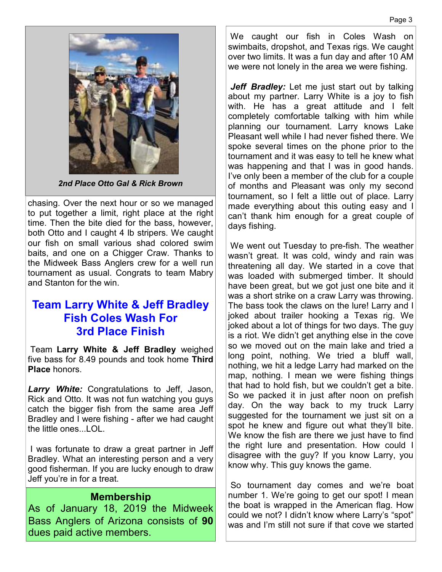

*2nd Place Otto Gal & Rick Brown*

chasing. Over the next hour or so we managed to put together a limit, right place at the right time. Then the bite died for the bass, however, both Otto and I caught 4 lb stripers. We caught our fish on small various shad colored swim baits, and one on a Chigger Craw. Thanks to the Midweek Bass Anglers crew for a well run tournament as usual. Congrats to team Mabry and Stanton for the win.

### **Team Larry White & Jeff Bradley Fish Coles Wash For 3rd Place Finish**

 Team **Larry White & Jeff Bradley** weighed five bass for 8.49 pounds and took home **Third Place** honors.

*Larry White:* Congratulations to Jeff, Jason, Rick and Otto. It was not fun watching you guys catch the bigger fish from the same area Jeff Bradley and I were fishing - after we had caught the little ones...LOL.

 I was fortunate to draw a great partner in Jeff Bradley. What an interesting person and a very good fisherman. If you are lucky enough to draw Jeff you're in for a treat.

#### **Membership**

As of January 18, 2019 the Midweek Bass Anglers of Arizona consists of **90**  dues paid active members.

 We caught our fish in Coles Wash on swimbaits, dropshot, and Texas rigs. We caught over two limits. It was a fun day and after 10 AM we were not lonely in the area we were fishing.

Jeff Bradley: Let me just start out by talking about my partner. Larry White is a joy to fish with. He has a great attitude and I felt completely comfortable talking with him while planning our tournament. Larry knows Lake Pleasant well while I had never fished there. We spoke several times on the phone prior to the tournament and it was easy to tell he knew what was happening and that I was in good hands. I've only been a member of the club for a couple of months and Pleasant was only my second tournament, so I felt a little out of place. Larry made everything about this outing easy and I can't thank him enough for a great couple of days fishing.

 We went out Tuesday to pre-fish. The weather wasn't great. It was cold, windy and rain was threatening all day. We started in a cove that was loaded with submerged timber. It should have been great, but we got just one bite and it was a short strike on a craw Larry was throwing. The bass took the claws on the lure! Larry and I joked about trailer hooking a Texas rig. We joked about a lot of things for two days. The guy is a riot. We didn't get anything else in the cove so we moved out on the main lake and tried a long point, nothing. We tried a bluff wall, nothing, we hit a ledge Larry had marked on the map, nothing. I mean we were fishing things that had to hold fish, but we couldn't get a bite. So we packed it in just after noon on prefish day. On the way back to my truck Larry suggested for the tournament we just sit on a spot he knew and figure out what they'll bite. We know the fish are there we just have to find the right lure and presentation. How could I disagree with the guy? If you know Larry, you know why. This guy knows the game.

 So tournament day comes and we're boat number 1. We're going to get our spot! I mean the boat is wrapped in the American flag. How could we not? I didn't know where Larry's "spot" was and I'm still not sure if that cove we started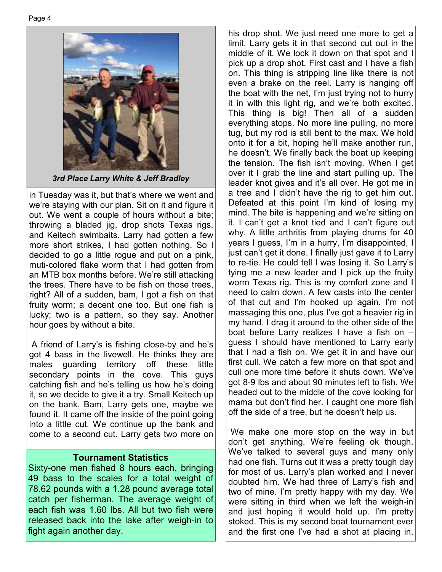

*3rd Place Larry White & Jeff Bradley*

in Tuesday was it, but that's where we went and we're staying with our plan. Sit on it and figure it out. We went a couple of hours without a bite; throwing a bladed jig, drop shots Texas rigs, and Keitech swimbaits. Larry had gotten a few more short strikes, I had gotten nothing. So I decided to go a little rogue and put on a pink, muti-colored flake worm that I had gotten from an MTB box months before. We're still attacking the trees. There have to be fish on those trees, right? All of a sudden, bam, I got a fish on that fruity worm; a decent one too. But one fish is lucky; two is a pattern, so they say. Another hour goes by without a bite.

 A friend of Larry's is fishing close-by and he's got 4 bass in the livewell. He thinks they are males guarding territory off these little secondary points in the cove. This guys catching fish and he's telling us how he's doing it, so we decide to give it a try. Small Keitech up on the bank. Bam, Larry gets one, maybe we found it. It came off the inside of the point going into a little cut. We continue up the bank and come to a second cut. Larry gets two more on

#### **Tournament Statistics**

Sixty-one men fished 8 hours each, bringing 49 bass to the scales for a total weight of 78.62 pounds with a 1.28 pound average total catch per fisherman. The average weight of each fish was 1.60 lbs. All but two fish were released back into the lake after weigh-in to fight again another day.

his drop shot. We just need one more to get a limit. Larry gets it in that second cut out in the middle of it. We lock it down on that spot and I pick up a drop shot. First cast and I have a fish on. This thing is stripping line like there is not even a brake on the reel. Larry is hanging off the boat with the net, I'm just trying not to hurry it in with this light rig, and we're both excited. This thing is big! Then all of a sudden everything stops. No more line pulling, no more tug, but my rod is still bent to the max. We hold onto it for a bit, hoping he'll make another run, he doesn't. We finally back the boat up keeping the tension. The fish isn't moving. When I get over it I grab the line and start pulling up. The leader knot gives and it's all over. He got me in a tree and I didn't have the rig to get him out. Defeated at this point I'm kind of losing my mind. The bite is happening and we're sitting on it. I can't get a knot tied and I can't figure out why. A little arthritis from playing drums for 40 years I guess, I'm in a hurry, I'm disappointed, I just can't get it done. I finally just gave it to Larry to re-tie. He could tell I was losing it. So Larry's tying me a new leader and I pick up the fruity worm Texas rig. This is my comfort zone and I need to calm down. A few casts into the center of that cut and I'm hooked up again. I'm not massaging this one, plus I've got a heavier rig in my hand. I drag it around to the other side of the boat before Larry realizes I have a fish on – guess I should have mentioned to Larry early that I had a fish on. We get it in and have our first cull. We catch a few more on that spot and cull one more time before it shuts down. We've got 8-9 lbs and about 90 minutes left to fish. We headed out to the middle of the cove looking for mama but don't find her. I caught one more fish off the side of a tree, but he doesn't help us.

 We make one more stop on the way in but don't get anything. We're feeling ok though. We've talked to several guys and many only had one fish. Turns out it was a pretty tough day for most of us. Larry's plan worked and I never doubted him. We had three of Larry's fish and two of mine. I'm pretty happy with my day. We were sitting in third when we left the weigh-in and just hoping it would hold up. I'm pretty stoked. This is my second boat tournament ever and the first one I've had a shot at placing in.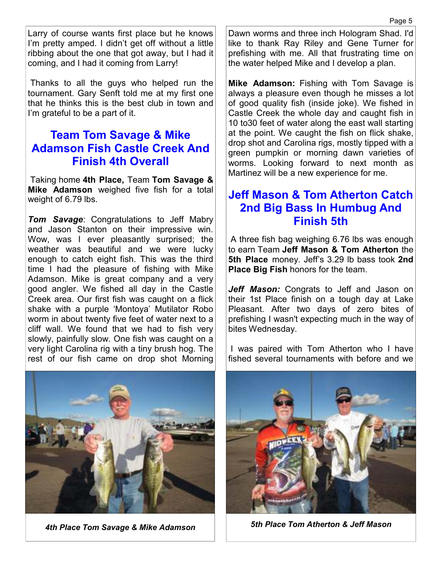Larry of course wants first place but he knows I'm pretty amped. I didn't get off without a little ribbing about the one that got away, but I had it coming, and I had it coming from Larry!

 Thanks to all the guys who helped run the tournament. Gary Senft told me at my first one that he thinks this is the best club in town and I'm grateful to be a part of it.

## **Team Tom Savage & Mike Adamson Fish Castle Creek And Finish 4th Overall**

 Taking home **4th Place,** Team **Tom Savage & Mike Adamson** weighed five fish for a total weight of 6.79 lbs.

*Tom Savage*: Congratulations to Jeff Mabry and Jason Stanton on their impressive win. Wow, was I ever pleasantly surprised; the weather was beautiful and we were lucky enough to catch eight fish. This was the third time I had the pleasure of fishing with Mike Adamson. Mike is great company and a very good angler. We fished all day in the Castle Creek area. Our first fish was caught on a flick shake with a purple 'Montoya' Mutilator Robo worm in about twenty five feet of water next to a cliff wall. We found that we had to fish very slowly, painfully slow. One fish was caught on a very light Carolina rig with a tiny brush hog. The rest of our fish came on drop shot Morning Dawn worms and three inch Hologram Shad. I'd like to thank Ray Riley and Gene Turner for prefishing with me. All that frustrating time on the water helped Mike and I develop a plan.

**Mike Adamson:** Fishing with Tom Savage is always a pleasure even though he misses a lot of good quality fish (inside joke). We fished in Castle Creek the whole day and caught fish in 10 to30 feet of water along the east wall starting at the point. We caught the fish on flick shake, drop shot and Carolina rigs, mostly tipped with a green pumpkin or morning dawn varieties of worms. Looking forward to next month as Martinez will be a new experience for me.

# **Jeff Mason & Tom Atherton Catch 2nd Big Bass In Humbug And Finish 5th**

 A three fish bag weighing 6.76 lbs was enough to earn Team **Jeff Mason & Tom Atherton** the **5th Place** money. Jeff's 3.29 lb bass took **2nd Place Big Fish** honors for the team.

*Jeff Mason:* Congrats to Jeff and Jason on their 1st Place finish on a tough day at Lake Pleasant. After two days of zero bites of prefishing I wasn't expecting much in the way of bites Wednesday.

 I was paired with Tom Atherton who I have fished several tournaments with before and we





*4th Place Tom Savage & Mike Adamson 5th Place Tom Atherton & Jeff Mason*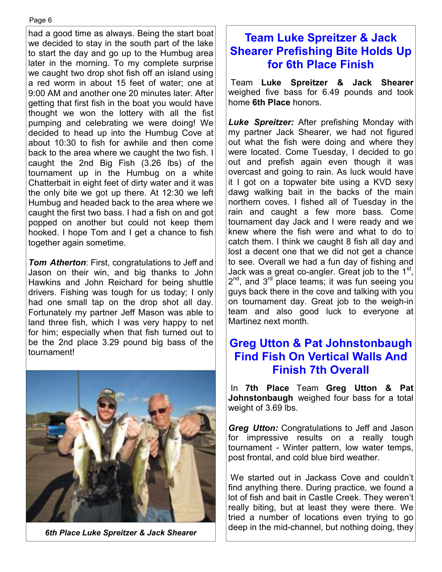had a good time as always. Being the start boat we decided to stay in the south part of the lake to start the day and go up to the Humbug area later in the morning. To my complete surprise we caught two drop shot fish off an island using a red worm in about 15 feet of water; one at 9:00 AM and another one 20 minutes later. After getting that first fish in the boat you would have thought we won the lottery with all the fist pumping and celebrating we were doing! We decided to head up into the Humbug Cove at about 10:30 to fish for awhile and then come back to the area where we caught the two fish. I caught the 2nd Big Fish (3.26 lbs) of the tournament up in the Humbug on a white Chatterbait in eight feet of dirty water and it was the only bite we got up there. At 12:30 we left Humbug and headed back to the area where we caught the first two bass. I had a fish on and got popped on another but could not keep them hooked. I hope Tom and I get a chance to fish together again sometime.

*Tom Atherton*: First, congratulations to Jeff and Jason on their win, and big thanks to John Hawkins and John Reichard for being shuttle drivers. Fishing was tough for us today; I only had one small tap on the drop shot all day. Fortunately my partner Jeff Mason was able to land three fish, which I was very happy to net for him; especially when that fish turned out to be the 2nd place 3.29 pound big bass of the tournament!



# **Team Luke Spreitzer & Jack Shearer Prefishing Bite Holds Up for 6th Place Finish**

 Team **Luke Spreitzer & Jack Shearer**  weighed five bass for 6.49 pounds and took home **6th Place** honors.

*Luke Spreitzer:* After prefishing Monday with my partner Jack Shearer, we had not figured out what the fish were doing and where they were located. Come Tuesday, I decided to go out and prefish again even though it was overcast and going to rain. As luck would have it I got on a topwater bite using a KVD sexy dawg walking bait in the backs of the main northern coves. I fished all of Tuesday in the rain and caught a few more bass. Come tournament day Jack and I were ready and we knew where the fish were and what to do to catch them. I think we caught 8 fish all day and lost a decent one that we did not get a chance to see. Overall we had a fun day of fishing and Jack was a great co-angler. Great job to the 1st,  $2^{nd}$ , and  $3^{rd}$  place teams; it was fun seeing you guys back there in the cove and talking with you on tournament day. Great job to the weigh-in team and also good luck to everyone at Martinez next month.

## **Greg Utton & Pat Johnstonbaugh Find Fish On Vertical Walls And Finish 7th Overall**

 In **7th Place** Team **Greg Utton & Pat Johnstonbaugh** weighed four bass for a total weight of 3.69 lbs.

*Greg Utton:* Congratulations to Jeff and Jason for impressive results on a really tough tournament - Winter pattern, low water temps, post frontal, and cold blue bird weather.

 We started out in Jackass Cove and couldn't find anything there. During practice, we found a lot of fish and bait in Castle Creek. They weren't really biting, but at least they were there. We tried a number of locations even trying to go deep in the mid-channel, but nothing doing, they *6th Place Luke Spreitzer & Jack Shearer*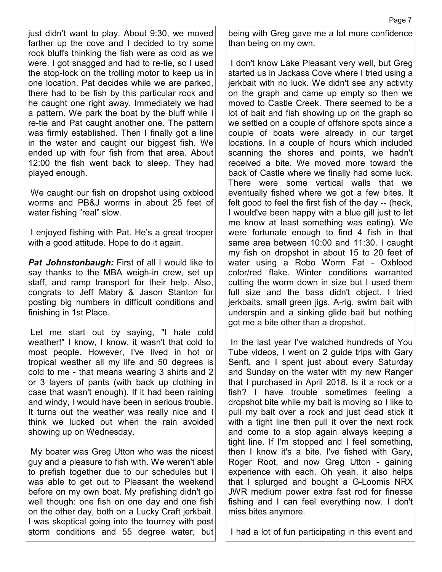just didn't want to play. About 9:30, we moved farther up the cove and I decided to try some rock bluffs thinking the fish were as cold as we were. I got snagged and had to re-tie, so I used the stop-lock on the trolling motor to keep us in one location. Pat decides while we are parked, there had to be fish by this particular rock and he caught one right away. Immediately we had a pattern. We park the boat by the bluff while I re-tie and Pat caught another one. The pattern was firmly established. Then I finally got a line in the water and caught our biggest fish. We ended up with four fish from that area. About 12:00 the fish went back to sleep. They had played enough.

 We caught our fish on dropshot using oxblood worms and PB&J worms in about 25 feet of water fishing "real" slow.

 I enjoyed fishing with Pat. He's a great trooper with a good attitude. Hope to do it again.

**Pat Johnstonbaugh:** First of all I would like to say thanks to the MBA weigh-in crew, set up staff, and ramp transport for their help. Also, congrats to Jeff Mabry & Jason Stanton for posting big numbers in difficult conditions and finishing in 1st Place.

 Let me start out by saying, "I hate cold weather!" I know, I know, it wasn't that cold to most people. However, I've lived in hot or tropical weather all my life and 50 degrees is cold to me - that means wearing 3 shirts and 2 or 3 layers of pants (with back up clothing in case that wasn't enough). If it had been raining and windy, I would have been in serious trouble. It turns out the weather was really nice and I think we lucked out when the rain avoided showing up on Wednesday.

 My boater was Greg Utton who was the nicest guy and a pleasure to fish with. We weren't able to prefish together due to our schedules but I was able to get out to Pleasant the weekend before on my own boat. My prefishing didn't go well though: one fish on one day and one fish on the other day, both on a Lucky Craft jerkbait. I was skeptical going into the tourney with post storm conditions and 55 degree water, but being with Greg gave me a lot more confidence than being on my own.

 I don't know Lake Pleasant very well, but Greg started us in Jackass Cove where I tried using a jerkbait with no luck. We didn't see any activity on the graph and came up empty so then we moved to Castle Creek. There seemed to be a lot of bait and fish showing up on the graph so we settled on a couple of offshore spots since a couple of boats were already in our target locations. In a couple of hours which included scanning the shores and points, we hadn't received a bite. We moved more toward the back of Castle where we finally had some luck. There were some vertical walls that we eventually fished where we got a few bites. It felt good to feel the first fish of the day -- (heck, I would've been happy with a blue gill just to let me know at least something was eating). We were fortunate enough to find 4 fish in that same area between 10:00 and 11:30. I caught my fish on dropshot in about 15 to 20 feet of water using a Robo Worm Fat - Oxblood color/red flake. Winter conditions warranted cutting the worm down in size but I used them full size and the bass didn't object. I tried jerkbaits, small green jigs, A-rig, swim bait with underspin and a sinking glide bait but nothing got me a bite other than a dropshot.

 In the last year I've watched hundreds of You Tube videos, I went on 2 guide trips with Gary Senft, and I spent just about every Saturday and Sunday on the water with my new Ranger that I purchased in April 2018. Is it a rock or a fish? I have trouble sometimes feeling a dropshot bite while my bait is moving so I like to pull my bait over a rock and just dead stick it with a tight line then pull it over the next rock and come to a stop again always keeping a tight line. If I'm stopped and I feel something, then I know it's a bite. I've fished with Gary, Roger Root, and now Greg Utton - gaining experience with each. Oh yeah, it also helps that I splurged and bought a G-Loomis NRX JWR medium power extra fast rod for finesse fishing and I can feel everything now. I don't miss bites anymore.

I had a lot of fun participating in this event and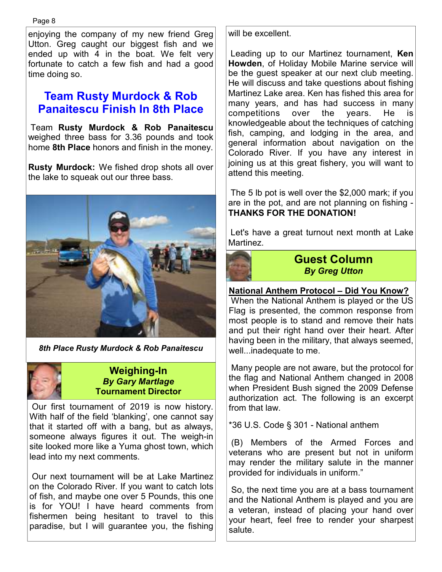enjoying the company of my new friend Greg Utton. Greg caught our biggest fish and we ended up with 4 in the boat. We felt very fortunate to catch a few fish and had a good time doing so.

# **Team Rusty Murdock & Rob Panaitescu Finish In 8th Place**

 Team **Rusty Murdock & Rob Panaitescu**  weighed three bass for 3.36 pounds and took home **8th Place** honors and finish in the money.

**Rusty Murdock:** We fished drop shots all over the lake to squeak out our three bass.



*8th Place Rusty Murdock & Rob Panaitescu* 

#### **Weighing-In**  *By Gary Martlage*  **Tournament Director**

 Our first tournament of 2019 is now history. With half of the field 'blanking', one cannot say that it started off with a bang, but as always, someone always figures it out. The weigh-in site looked more like a Yuma ghost town, which lead into my next comments.

 Our next tournament will be at Lake Martinez on the Colorado River. If you want to catch lots of fish, and maybe one over 5 Pounds, this one is for YOU! I have heard comments from fishermen being hesitant to travel to this paradise, but I will guarantee you, the fishing will be excellent.

 Leading up to our Martinez tournament, **Ken Howden**, of Holiday Mobile Marine service will be the guest speaker at our next club meeting. He will discuss and take questions about fishing Martinez Lake area. Ken has fished this area for many years, and has had success in many competitions over the years. He is knowledgeable about the techniques of catching fish, camping, and lodging in the area, and general information about navigation on the Colorado River. If you have any interest in joining us at this great fishery, you will want to attend this meeting.

 The 5 lb pot is well over the \$2,000 mark; if you are in the pot, and are not planning on fishing - **THANKS FOR THE DONATION!**

 Let's have a great turnout next month at Lake **Martinez** 



**Guest Column**  *By Greg Utton* 

# **National Anthem Protocol – Did You Know?**

 When the National Anthem is played or the US Flag is presented, the common response from most people is to stand and remove their hats and put their right hand over their heart. After having been in the military, that always seemed, well...inadequate to me.

 Many people are not aware, but the protocol for the flag and National Anthem changed in 2008 when President Bush signed the 2009 Defense authorization act. The following is an excerpt from that law.

\*36 U.S. Code § 301 - National anthem

 (B) Members of the Armed Forces and veterans who are present but not in uniform may render the military salute in the manner provided for individuals in uniform."

 So, the next time you are at a bass tournament and the National Anthem is played and you are a veteran, instead of placing your hand over your heart, feel free to render your sharpest salute.